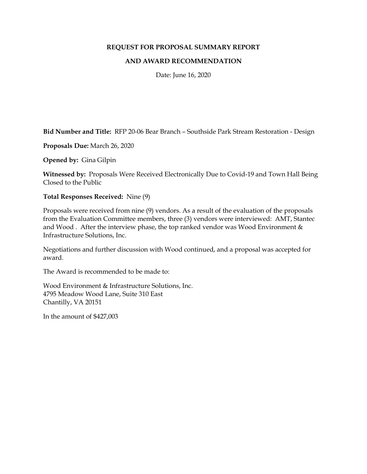## **REQUEST FOR PROPOSAL SUMMARY REPORT**

## **AND AWARD RECOMMENDATION**

Date: June 16, 2020

**Bid Number and Title:** RFP 20-06 Bear Branch – Southside Park Stream Restoration - Design

**Proposals Due:** March 26, 2020

**Opened by:** Gina Gilpin

**Witnessed by:** Proposals Were Received Electronically Due to Covid-19 and Town Hall Being Closed to the Public

## **Total Responses Received:** Nine (9)

Proposals were received from nine (9) vendors. As a result of the evaluation of the proposals from the Evaluation Committee members, three (3) vendors were interviewed: AMT, Stantec and Wood. After the interview phase, the top ranked vendor was Wood Environment  $\&$ Infrastructure Solutions, Inc.

Negotiations and further discussion with Wood continued, and a proposal was accepted for award.

The Award is recommended to be made to:

Wood Environment & Infrastructure Solutions, Inc. 4795 Meadow Wood Lane, Suite 310 East Chantilly, VA 20151

In the amount of \$427,003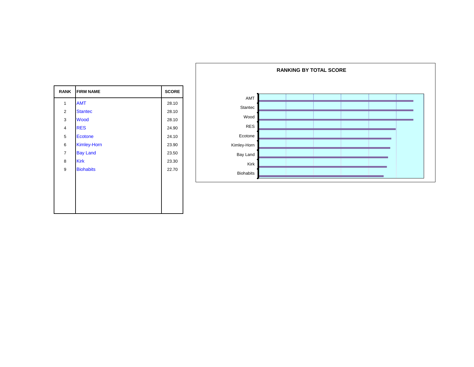| <b>RANK</b>    | <b>FIRM NAME</b>   | <b>SCORE</b> |
|----------------|--------------------|--------------|
| 1              | <b>AMT</b>         | 28.10        |
| $\overline{2}$ | <b>Stantec</b>     | 28.10        |
| 3              | Wood               | 28.10        |
| 4              | <b>RES</b>         | 24.90        |
| 5              | <b>Ecotone</b>     | 24.10        |
| 6              | <b>Kimley-Horn</b> | 23.90        |
| 7              | <b>Bay Land</b>    | 23.50        |
| 8              | <b>Kirk</b>        | 23.30        |
| 9              | <b>Biohabits</b>   | 22.70        |
|                |                    |              |
|                |                    |              |
|                |                    |              |
|                |                    |              |
|                |                    |              |